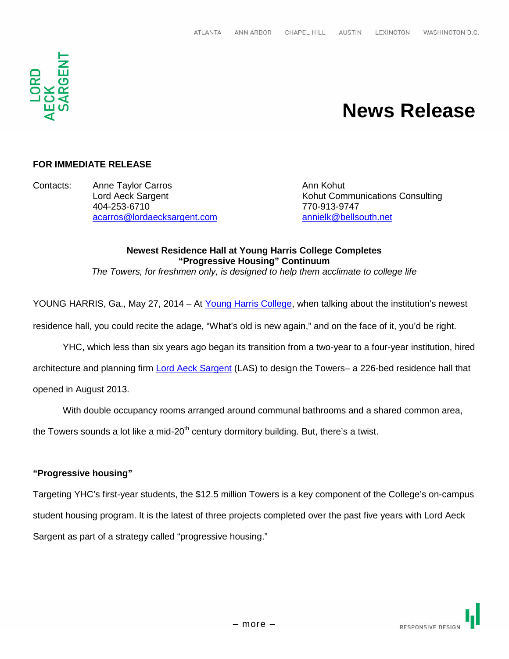

# **News Release**

# **FOR IMMEDIATE RELEASE**

Contacts: Anne Taylor Carros **Anne Anne Taylor Carros** Ann Kohut 404-253-6710 770-913-9747 acarros@lordaecksargent.com annielk@bellsouth.net

Lord Aeck Sargent **Kohut Communications Consulting** 

# **Newest Residence Hall at Young Harris College Completes "Progressive Housing" Continuum**

*The Towers, for freshmen only, is designed to help them acclimate to college life*

YOUNG HARRIS, Ga., May 27, 2014 – At Young Harris College, when talking about the institution's newest

residence hall, you could recite the adage, "What's old is new again," and on the face of it, you'd be right.

YHC, which less than six years ago began its transition from a two-year to a four-year institution, hired

architecture and planning firm Lord Aeck Sargent (LAS) to design the Towers– a 226-bed residence hall that

opened in August 2013.

With double occupancy rooms arranged around communal bathrooms and a shared common area,

the Towers sounds a lot like a mid-20<sup>th</sup> century dormitory building. But, there's a twist.

#### **"Progressive housing"**

Targeting YHC's first-year students, the \$12.5 million Towers is a key component of the College's on-campus student housing program. It is the latest of three projects completed over the past five years with Lord Aeck Sargent as part of a strategy called "progressive housing."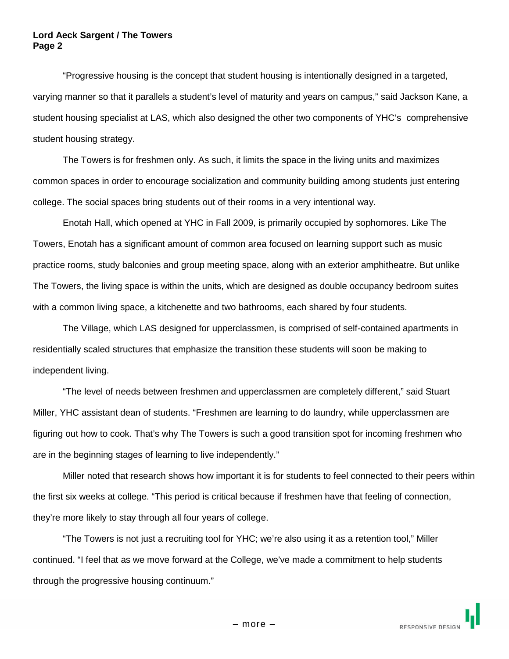"Progressive housing is the concept that student housing is intentionally designed in a targeted, varying manner so that it parallels a student's level of maturity and years on campus," said Jackson Kane, a student housing specialist at LAS, which also designed the other two components of YHC's comprehensive student housing strategy.

The Towers is for freshmen only. As such, it limits the space in the living units and maximizes common spaces in order to encourage socialization and community building among students just entering college. The social spaces bring students out of their rooms in a very intentional way.

Enotah Hall, which opened at YHC in Fall 2009, is primarily occupied by sophomores. Like The Towers, Enotah has a significant amount of common area focused on learning support such as music practice rooms, study balconies and group meeting space, along with an exterior amphitheatre. But unlike The Towers, the living space is within the units, which are designed as double occupancy bedroom suites with a common living space, a kitchenette and two bathrooms, each shared by four students.

The Village, which LAS designed for upperclassmen, is comprised of self-contained apartments in residentially scaled structures that emphasize the transition these students will soon be making to independent living.

"The level of needs between freshmen and upperclassmen are completely different," said Stuart Miller, YHC assistant dean of students. "Freshmen are learning to do laundry, while upperclassmen are figuring out how to cook. That's why The Towers is such a good transition spot for incoming freshmen who are in the beginning stages of learning to live independently."

Miller noted that research shows how important it is for students to feel connected to their peers within the first six weeks at college. "This period is critical because if freshmen have that feeling of connection, they're more likely to stay through all four years of college.

"The Towers is not just a recruiting tool for YHC; we're also using it as a retention tool," Miller continued. "I feel that as we move forward at the College, we've made a commitment to help students through the progressive housing continuum."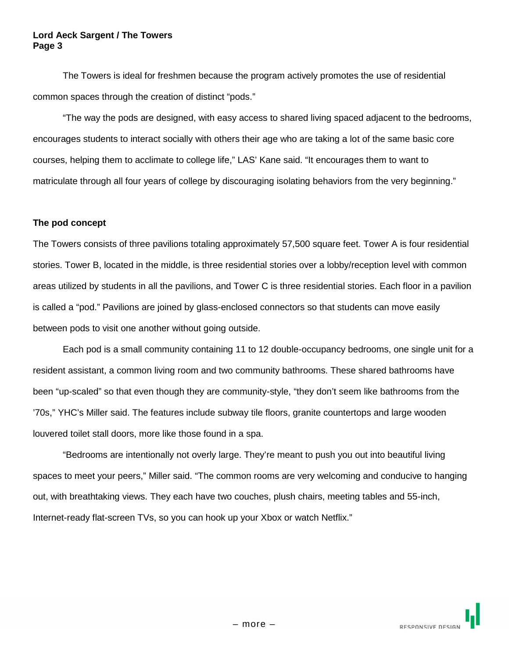#### **Lord Aeck Sargent / The Towers Page 3**

The Towers is ideal for freshmen because the program actively promotes the use of residential common spaces through the creation of distinct "pods."

"The way the pods are designed, with easy access to shared living spaced adjacent to the bedrooms, encourages students to interact socially with others their age who are taking a lot of the same basic core courses, helping them to acclimate to college life," LAS' Kane said. "It encourages them to want to matriculate through all four years of college by discouraging isolating behaviors from the very beginning."

# **The pod concept**

The Towers consists of three pavilions totaling approximately 57,500 square feet. Tower A is four residential stories. Tower B, located in the middle, is three residential stories over a lobby/reception level with common areas utilized by students in all the pavilions, and Tower C is three residential stories. Each floor in a pavilion is called a "pod." Pavilions are joined by glass-enclosed connectors so that students can move easily between pods to visit one another without going outside.

Each pod is a small community containing 11 to 12 double-occupancy bedrooms, one single unit for a resident assistant, a common living room and two community bathrooms. These shared bathrooms have been "up-scaled" so that even though they are community-style, "they don't seem like bathrooms from the '70s," YHC's Miller said. The features include subway tile floors, granite countertops and large wooden louvered toilet stall doors, more like those found in a spa.

"Bedrooms are intentionally not overly large. They're meant to push you out into beautiful living spaces to meet your peers," Miller said. "The common rooms are very welcoming and conducive to hanging out, with breathtaking views. They each have two couches, plush chairs, meeting tables and 55-inch, Internet-ready flat-screen TVs, so you can hook up your Xbox or watch Netflix."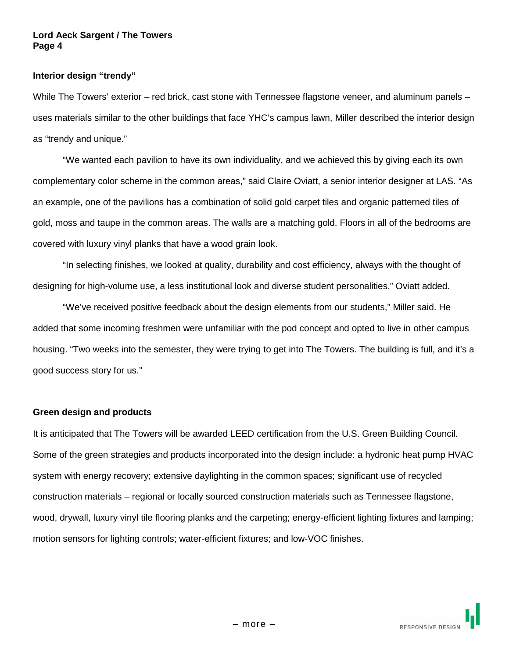#### **Lord Aeck Sargent / The Towers Page 4**

#### **Interior design "trendy"**

While The Towers' exterior – red brick, cast stone with Tennessee flagstone veneer, and aluminum panels – uses materials similar to the other buildings that face YHC's campus lawn, Miller described the interior design as "trendy and unique."

"We wanted each pavilion to have its own individuality, and we achieved this by giving each its own complementary color scheme in the common areas," said Claire Oviatt, a senior interior designer at LAS. "As an example, one of the pavilions has a combination of solid gold carpet tiles and organic patterned tiles of gold, moss and taupe in the common areas. The walls are a matching gold. Floors in all of the bedrooms are covered with luxury vinyl planks that have a wood grain look.

"In selecting finishes, we looked at quality, durability and cost efficiency, always with the thought of designing for high-volume use, a less institutional look and diverse student personalities," Oviatt added.

"We've received positive feedback about the design elements from our students," Miller said. He added that some incoming freshmen were unfamiliar with the pod concept and opted to live in other campus housing. "Two weeks into the semester, they were trying to get into The Towers. The building is full, and it's a good success story for us."

#### **Green design and products**

It is anticipated that The Towers will be awarded LEED certification from the U.S. Green Building Council. Some of the green strategies and products incorporated into the design include: a hydronic heat pump HVAC system with energy recovery; extensive daylighting in the common spaces; significant use of recycled construction materials – regional or locally sourced construction materials such as Tennessee flagstone, wood, drywall, luxury vinyl tile flooring planks and the carpeting; energy-efficient lighting fixtures and lamping; motion sensors for lighting controls; water-efficient fixtures; and low-VOC finishes.